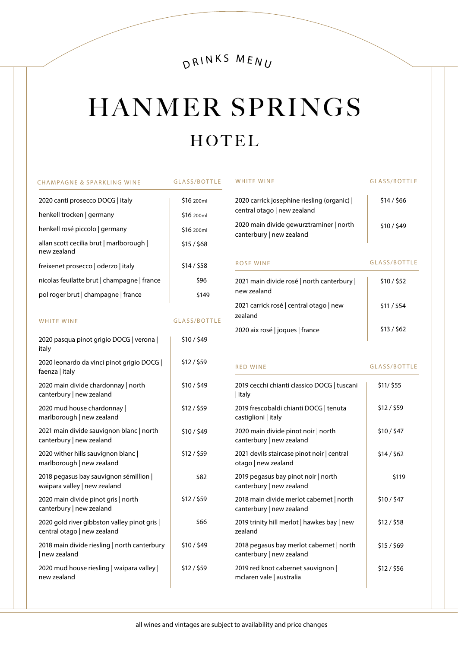# DRINKS MENU

# HANMER SPRINGS HOTEL

| CHAMPAGNE & SPARKLING WINE                              | <b>GLASS/BOTTLE</b> |
|---------------------------------------------------------|---------------------|
| 2020 canti prosecco DOCG   italy                        | \$16 200ml          |
| henkell trocken   germany                               | \$16 200ml          |
| henkell rosé piccolo   germany                          | \$16 200ml          |
| allan scott cecilia brut   marlborough  <br>new zealand | \$15/568            |
| freixenet prosecco   oderzo   italy                     | \$14/558            |
| nicolas feuilatte brut   champagne   france             | \$96                |
| pol roger brut   champagne   france                     | \$149               |
|                                                         |                     |

WHITE WINE GLASS/BOTTLE

| 2020 pasqua pinot grigio DOCG verona  <br>italy                           | \$10/549  |
|---------------------------------------------------------------------------|-----------|
| 2020 leonardo da vinci pinot grigio DOCG  <br>faenza   italy              | \$12/\$59 |
| 2020 main divide chardonnay   north<br>canterbury   new zealand           | \$10/549  |
| 2020 mud house chardonnay<br>marlborough   new zealand                    | \$12/\$59 |
| 2021 main divide sauvignon blanc   north<br>canterbury   new zealand      | \$10/549  |
| 2020 wither hills sauvignon blanc<br>marlborough   new zealand            | \$12/559  |
| 2018 pegasus bay sauvignon sémillion<br>waipara valley   new zealand      | \$82      |
| 2020 main divide pinot gris   north<br>canterbury   new zealand           | \$12/559  |
| 2020 gold river gibbston valley pinot gris<br>central otago   new zealand | \$66      |
| 2018 main divide riesling   north canterbury<br>  new zealand             | \$10/\$49 |
| 2020 mud house riesling   waipara valley  <br>new zealand                 | \$12/\$59 |
|                                                                           |           |

| <b>WHITE WINE</b>                                                          | <b>GLASS/BOTTLE</b> |
|----------------------------------------------------------------------------|---------------------|
| 2020 carrick josephine riesling (organic)  <br>central otago   new zealand | \$14/\$66           |
| 2020 main divide gewurztraminer   north<br>canterbury   new zealand        | \$10/\$49           |
| ROSE WINE                                                                  | <b>GLASS/BOTTLE</b> |
| 2021 main divide rosé   north canterbury  <br>new zealand                  | \$10/\$52           |
| 2021 carrick rosé central otago new<br>zealand                             | \$11 / \$54         |
| 2020 aix rosé   joques   france                                            | \$13/562            |

RED WINE GLASS/BOTTLE

| 2019 cecchi chianti classico DOCG   tuscani<br>  italy               | \$11/ \$55 |
|----------------------------------------------------------------------|------------|
| 2019 frescobaldi chianti DOCG   tenuta<br>castiglioni   italy        | \$12/\$59  |
| 2020 main divide pinot noir   north<br>canterbury   new zealand      | \$10/547   |
| 2021 devils staircase pinot noir   central<br>otago   new zealand    | \$14/562   |
| 2019 pegasus bay pinot noir   north<br>canterbury   new zealand      | \$119      |
| 2018 main divide merlot cabernet   north<br>canterbury   new zealand | \$10/547   |
| 2019 trinity hill merlot   hawkes bay   new<br>zealand               | \$12/558   |
| 2018 pegasus bay merlot cabernet   north<br>canterbury   new zealand | \$15/569   |
| 2019 red knot cabernet sauvignon  <br>mclaren vale   australia       | \$12/\$56  |
|                                                                      |            |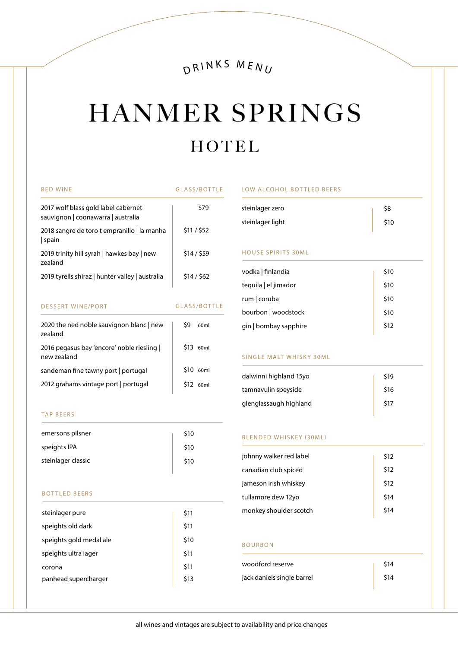DRINKS MENU

# HANMER SPRINGS HOTEL

| <b>RED WINE</b>                                                           | GLASS/BOTTLE            |
|---------------------------------------------------------------------------|-------------------------|
| 2017 wolf blass gold label cabernet<br>sauvignon   coonawarra   australia | \$79                    |
| 2018 sangre de toro t empranillo   la manha<br>  spain                    | \$11 / \$52             |
| 2019 trinity hill syrah   hawkes bay   new<br>zealand                     | \$14/559                |
| 2019 tyrells shiraz   hunter valley   australia                           | \$14/562                |
| <b>DESSERT WINE/PORT</b>                                                  | <b>GLASS/BOTTLE</b>     |
| 2020 the ned noble sauvignon blanc   new<br>zealand                       | \$9<br>60 <sub>ml</sub> |
| 2016 pegasus bay 'encore' noble riesling  <br>new zealand                 | \$13 60ml               |
| sandeman fine tawny port   portugal                                       | \$10 60ml               |
| 2012 grahams vintage port   portugal                                      | \$12 60ml               |

#### TAP BEERS

| emersons pilsner   | \$10 |
|--------------------|------|
| speights IPA       | \$10 |
| steinlager classic | \$10 |
|                    |      |

### BOTTLED BEERS

| \$11 |
|------|
| \$11 |
| \$10 |
| \$11 |
| \$11 |
| \$13 |
|      |

#### LOW ALCOHOL BOTTLED BEERS

| steinlager zero  | \$8  |
|------------------|------|
| steinlager light | \$10 |

### HOUSE SPIRITS 30ML

| vodka   finlandia     | \$10 |
|-----------------------|------|
| tequila   el jimador  | \$10 |
| rum   coruba          | \$10 |
| bourbon   woodstock   | \$10 |
| gin   bombay sapphire | \$12 |
|                       |      |

## SINGLE MALT WHISKY 30ML

| dalwinni highland 15yo | \$19 |
|------------------------|------|
| tamnavulin speyside    | \$16 |
| glenglassaugh highland | \$17 |
|                        |      |

#### BLENDED WHISKEY (30ML)

| johnny walker red label | \$12 |
|-------------------------|------|
| canadian club spiced    | \$12 |
| jameson irish whiskey   | \$12 |
| tullamore dew 12yo      | \$14 |
| monkey shoulder scotch  | \$14 |

### BOURBON

| woodford reserve           | \$14 |
|----------------------------|------|
| jack daniels single barrel | \$14 |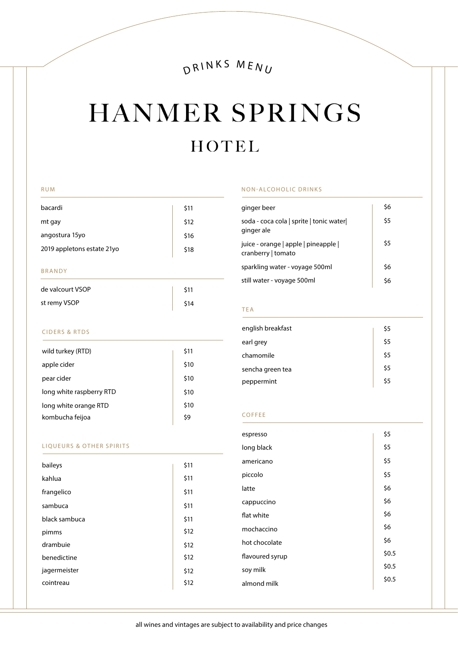# DRINKS MENU

# HANMER SPRINGS HOTEL

#### RUM

| \$11 |
|------|
| \$12 |
| \$16 |
| \$18 |
|      |

### BRANDY

| de valcourt VSOP | \$11 |
|------------------|------|
| st remy VSOP     | \$14 |

## CIDERS & RTDS

| wild turkey (RTD)        | \$11 |
|--------------------------|------|
| apple cider              | \$10 |
| pear cider               | \$10 |
| long white raspberry RTD | \$10 |
| long white orange RTD    | \$10 |
| kombucha feijoa          | \$9  |
|                          |      |

## LIQUEURS & OTHER SPIRITS

| baileys       | \$11 |
|---------------|------|
| kahlua        | \$11 |
| frangelico    | \$11 |
| sambuca       | \$11 |
| black sambuca | \$11 |
| pimms         | \$12 |
| drambuie      | \$12 |
| benedictine   | \$12 |
| jagermeister  | \$12 |
| cointreau     | \$12 |

#### NON-ALCOHOLIC DRINKS

| ginger beer                                                | \$6 |
|------------------------------------------------------------|-----|
| soda - coca cola   sprite   tonic water <br>ginger ale     | \$5 |
| juice - orange   apple   pineapple  <br>cranberry   tomato | \$5 |
| sparkling water - voyage 500ml                             | \$6 |
| still water - voyage 500ml                                 | \$6 |

### TEA

| english breakfast | \$5 |
|-------------------|-----|
| earl grey         | \$5 |
| chamomile         | \$5 |
| sencha green tea  | \$5 |
| peppermint        | \$5 |

#### COFFEE

| espresso        | \$5   |
|-----------------|-------|
| long black      | \$5   |
| americano       | \$5   |
| piccolo         | \$5   |
| latte           | \$6   |
| cappuccino      | \$6   |
| flat white      | \$6   |
| mochaccino      | \$6   |
| hot chocolate   | \$6   |
| flavoured syrup | \$0.5 |
| soy milk        | \$0.5 |
| almond milk     | \$0.5 |
|                 |       |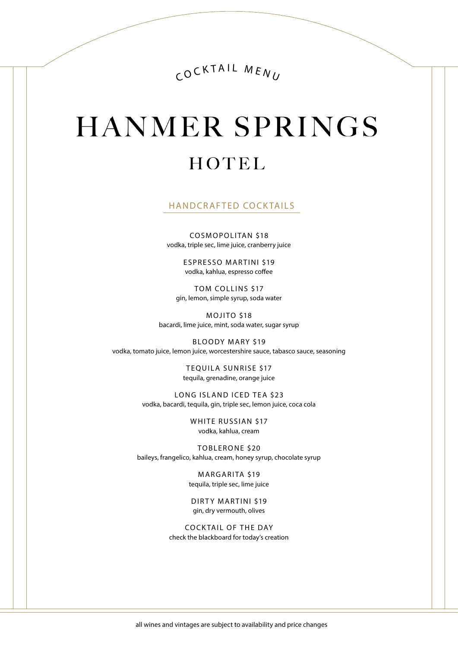COCKTAIL MENU

# **HANMER SPRINGS** HOTEL

HANDCRAFTED COCKTAILS

COSMOPOLITAN \$18 vodka, triple sec, lime juice, cranberry juice

> ESPRESSO MARTINI \$19 vodka, kahlua, espresso coffee

TOM COLLINS \$17 gin, lemon, simple syrup, soda water

MOJITO \$18 bacardi, lime juice, mint, soda water, sugar syrup

BLOODY MARY \$19 vodka, tomato juice, lemon juice, worcestershire sauce, tabasco sauce, seasoning

> TEQUILA SUNRISE \$17 tequila, grenadine, orange juice

LONG ISLAND ICED TEA \$23 vodka, bacardi, tequila, gin, triple sec, lemon juice, coca cola

> WHITE RUSSIAN \$17 vodka, kahlua, cream

TOBLERONE \$20 baileys, frangelico, kahlua, cream, honey syrup, chocolate syrup

> MARGARITA \$19 tequila, triple sec, lime juice

DIRTY MARTINI \$19 gin, dry vermouth, olives

COCK TAIL OF THE DAY check the blackboard for today's creation

all wines and vintages are subject to availability and price changes